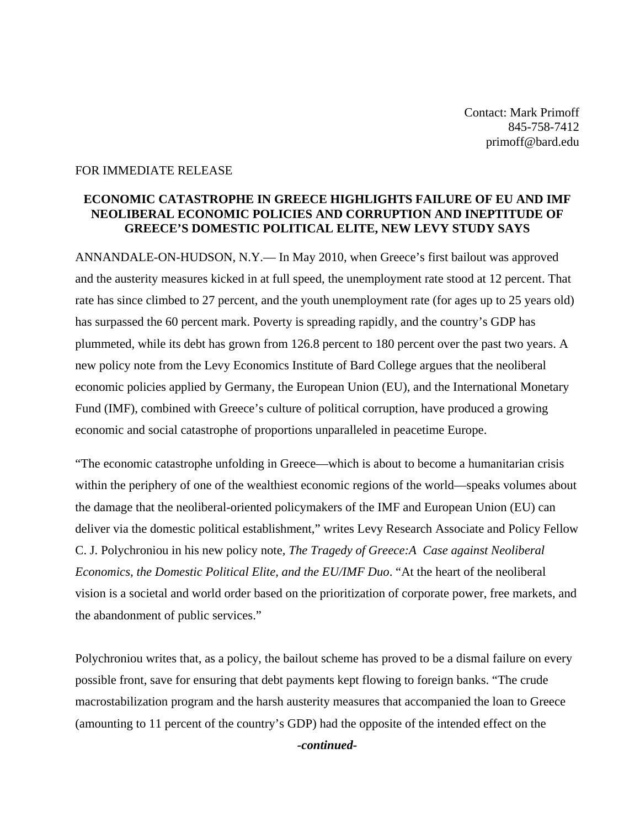Contact: Mark Primoff 845-758-7412 primoff@bard.edu

## FOR IMMEDIATE RELEASE

## **ECONOMIC CATASTROPHE IN GREECE HIGHLIGHTS FAILURE OF EU AND IMF NEOLIBERAL ECONOMIC POLICIES AND CORRUPTION AND INEPTITUDE OF GREECE'S DOMESTIC POLITICAL ELITE, NEW LEVY STUDY SAYS**

ANNANDALE-ON-HUDSON, N.Y.— In May 2010, when Greece's first bailout was approved and the austerity measures kicked in at full speed, the unemployment rate stood at 12 percent. That rate has since climbed to 27 percent, and the youth unemployment rate (for ages up to 25 years old) has surpassed the 60 percent mark. Poverty is spreading rapidly, and the country's GDP has plummeted, while its debt has grown from 126.8 percent to 180 percent over the past two years. A new policy note from the Levy Economics Institute of Bard College argues that the neoliberal economic policies applied by Germany, the European Union (EU), and the International Monetary Fund (IMF), combined with Greece's culture of political corruption, have produced a growing economic and social catastrophe of proportions unparalleled in peacetime Europe.

"The economic catastrophe unfolding in Greece—which is about to become a humanitarian crisis within the periphery of one of the wealthiest economic regions of the world—speaks volumes about the damage that the neoliberal-oriented policymakers of the IMF and European Union (EU) can deliver via the domestic political establishment," writes Levy Research Associate and Policy Fellow C. J. Polychroniou in his new policy note, *The Tragedy of Greece:A Case against Neoliberal Economics, the Domestic Political Elite, and the EU/IMF Duo*. "At the heart of the neoliberal vision is a societal and world order based on the prioritization of corporate power, free markets, and the abandonment of public services."

Polychroniou writes that, as a policy, the bailout scheme has proved to be a dismal failure on every possible front, save for ensuring that debt payments kept flowing to foreign banks. "The crude macrostabilization program and the harsh austerity measures that accompanied the loan to Greece (amounting to 11 percent of the country's GDP) had the opposite of the intended effect on the

*-continued-*